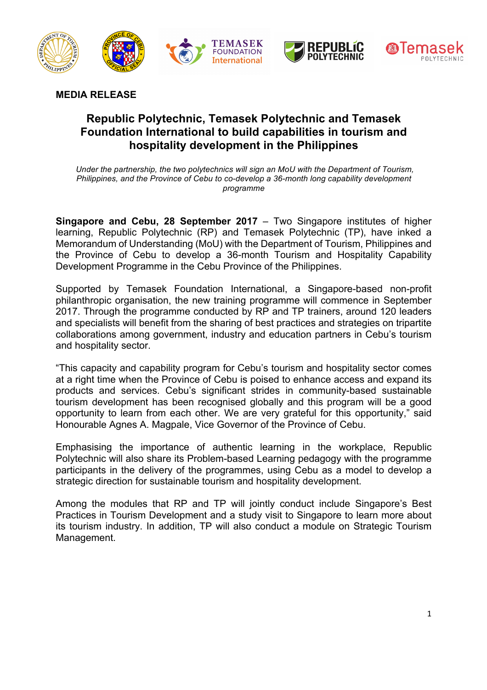

**MEDIA RELEASE**

# **Republic Polytechnic, Temasek Polytechnic and Temasek Foundation International to build capabilities in tourism and hospitality development in the Philippines**

*Under the partnership, the two polytechnics will sign an MoU with the Department of Tourism, Philippines, and the Province of Cebu to co-develop a 36-month long capability development programme*

**Singapore and Cebu, 28 September 2017** – Two Singapore institutes of higher learning, Republic Polytechnic (RP) and Temasek Polytechnic (TP), have inked a Memorandum of Understanding (MoU) with the Department of Tourism, Philippines and the Province of Cebu to develop a 36-month Tourism and Hospitality Capability Development Programme in the Cebu Province of the Philippines.

Supported by Temasek Foundation International, a Singapore-based non-profit philanthropic organisation, the new training programme will commence in September 2017. Through the programme conducted by RP and TP trainers, around 120 leaders and specialists will benefit from the sharing of best practices and strategies on tripartite collaborations among government, industry and education partners in Cebu's tourism and hospitality sector.

"This capacity and capability program for Cebu's tourism and hospitality sector comes at a right time when the Province of Cebu is poised to enhance access and expand its products and services. Cebu's significant strides in community-based sustainable tourism development has been recognised globally and this program will be a good opportunity to learn from each other. We are very grateful for this opportunity," said Honourable Agnes A. Magpale, Vice Governor of the Province of Cebu.

Emphasising the importance of authentic learning in the workplace, Republic Polytechnic will also share its Problem-based Learning pedagogy with the programme participants in the delivery of the programmes, using Cebu as a model to develop a strategic direction for sustainable tourism and hospitality development.

Among the modules that RP and TP will jointly conduct include Singapore's Best Practices in Tourism Development and a study visit to Singapore to learn more about its tourism industry. In addition, TP will also conduct a module on Strategic Tourism Management.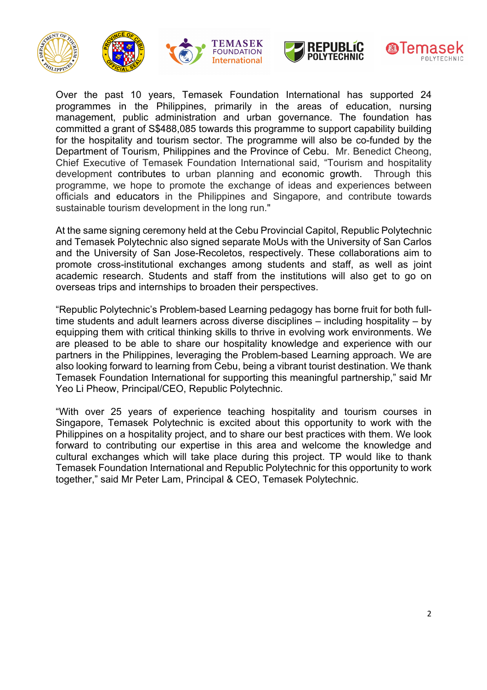







Over the past 10 years, Temasek Foundation International has supported 24 programmes in the Philippines, primarily in the areas of education, nursing management, public administration and urban governance. The foundation has committed a grant of S\$488,085 towards this programme to support capability building for the hospitality and tourism sector. The programme will also be co-funded by the Department of Tourism, Philippines and the Province of Cebu. Mr. Benedict Cheong, Chief Executive of Temasek Foundation International said, "Tourism and hospitality development contributes to urban planning and economic growth. Through this programme, we hope to promote the exchange of ideas and experiences between officials and educators in the Philippines and Singapore, and contribute towards sustainable tourism development in the long run."

TEMASEK

**FOUNDATION International** 

At the same signing ceremony held at the Cebu Provincial Capitol, Republic Polytechnic and Temasek Polytechnic also signed separate MoUs with the University of San Carlos and the University of San Jose-Recoletos, respectively. These collaborations aim to promote cross-institutional exchanges among students and staff, as well as joint academic research. Students and staff from the institutions will also get to go on overseas trips and internships to broaden their perspectives.

"Republic Polytechnic's Problem-based Learning pedagogy has borne fruit for both fulltime students and adult learners across diverse disciplines – including hospitality – by equipping them with critical thinking skills to thrive in evolving work environments. We are pleased to be able to share our hospitality knowledge and experience with our partners in the Philippines, leveraging the Problem-based Learning approach. We are also looking forward to learning from Cebu, being a vibrant tourist destination. We thank Temasek Foundation International for supporting this meaningful partnership," said Mr Yeo Li Pheow, Principal/CEO, Republic Polytechnic.

"With over 25 years of experience teaching hospitality and tourism courses in Singapore, Temasek Polytechnic is excited about this opportunity to work with the Philippines on a hospitality project, and to share our best practices with them. We look forward to contributing our expertise in this area and welcome the knowledge and cultural exchanges which will take place during this project. TP would like to thank Temasek Foundation International and Republic Polytechnic for this opportunity to work together," said Mr Peter Lam, Principal & CEO, Temasek Polytechnic.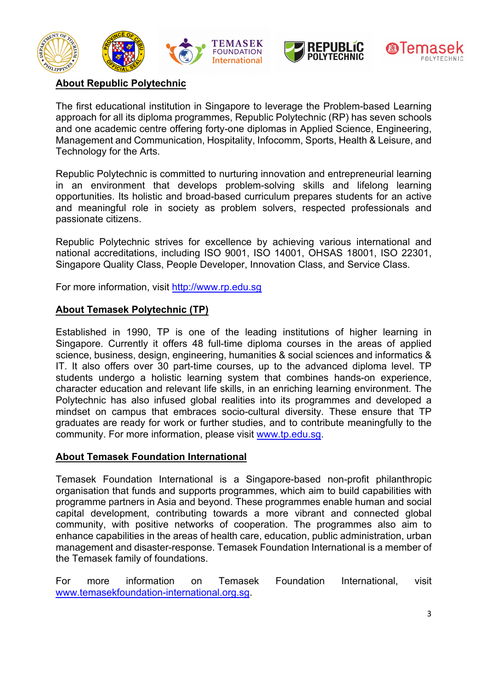







## **About Republic Polytechnic**

The first educational institution in Singapore to leverage the Problem-based Learning approach for all its diploma programmes, Republic Polytechnic (RP) has seven schools and one academic centre offering forty-one diplomas in Applied Science, Engineering, Management and Communication, Hospitality, Infocomm, Sports, Health & Leisure, and Technology for the Arts.

Republic Polytechnic is committed to nurturing innovation and entrepreneurial learning in an environment that develops problem-solving skills and lifelong learning opportunities. Its holistic and broad-based curriculum prepares students for an active and meaningful role in society as problem solvers, respected professionals and passionate citizens.

Republic Polytechnic strives for excellence by achieving various international and national accreditations, including ISO 9001, ISO 14001, OHSAS 18001, ISO 22301, Singapore Quality Class, People Developer, Innovation Class, and Service Class.

For more information, visit http://www.rp.edu.sg

#### **About Temasek Polytechnic (TP)**

Established in 1990, TP is one of the leading institutions of higher learning in Singapore. Currently it offers 48 full-time diploma courses in the areas of applied science, business, design, engineering, humanities & social sciences and informatics & IT. It also offers over 30 part-time courses, up to the advanced diploma level. TP students undergo a holistic learning system that combines hands-on experience, character education and relevant life skills, in an enriching learning environment. The Polytechnic has also infused global realities into its programmes and developed a mindset on campus that embraces socio-cultural diversity. These ensure that TP graduates are ready for work or further studies, and to contribute meaningfully to the community. For more information, please visit www.tp.edu.sg.

#### **About Temasek Foundation International**

Temasek Foundation International is a Singapore-based non-profit philanthropic organisation that funds and supports programmes, which aim to build capabilities with programme partners in Asia and beyond. These programmes enable human and social capital development, contributing towards a more vibrant and connected global community, with positive networks of cooperation. The programmes also aim to enhance capabilities in the areas of health care, education, public administration, urban management and disaster-response. Temasek Foundation International is a member of the Temasek family of foundations.

For more information on Temasek Foundation International, visit www.temasekfoundation-international.org.sg.